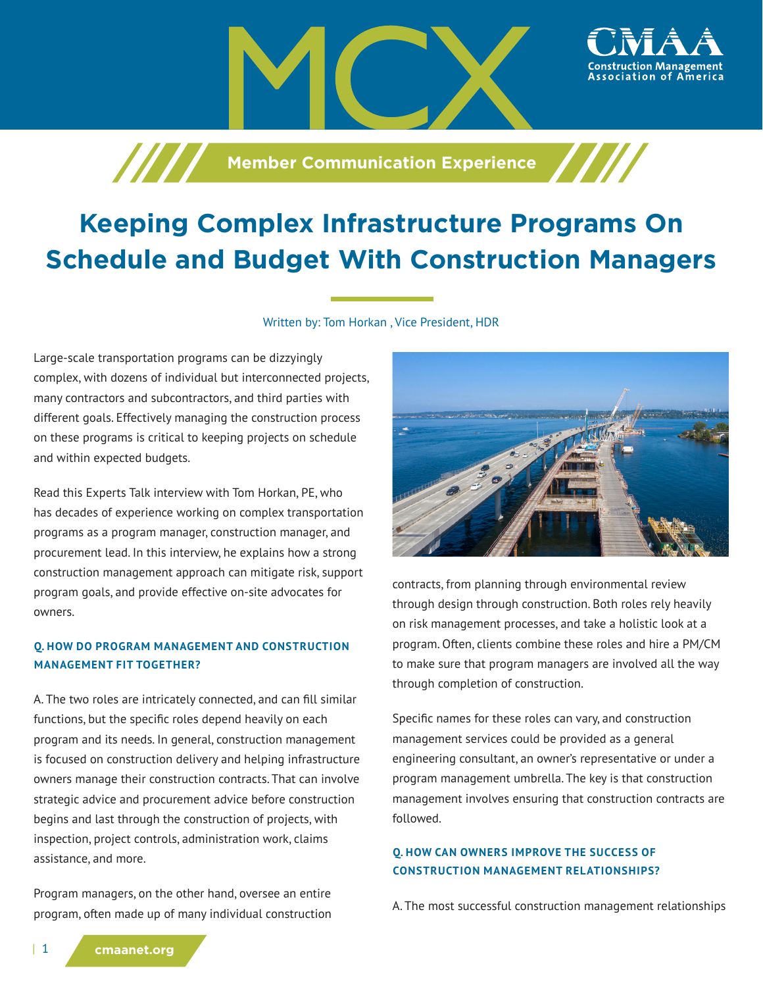

**Member Communication Experience** 

Written by: Tom Horkan , Vice President, HDR

Large-scale transportation programs can be dizzyingly complex, with dozens of individual but interconnected projects, many contractors and subcontractors, and third parties with different goals. Effectively managing the construction process on these programs is critical to keeping projects on schedule and within expected budgets.

Read this Experts Talk interview with Tom Horkan, PE, who has decades of experience working on complex transportation programs as a program manager, construction manager, and procurement lead. In this interview, he explains how a strong construction management approach can mitigate risk, support program goals, and provide effective on-site advocates for owners.

### **Q. HOW DO PROGRAM MANAGEMENT AND CONSTRUCTION MANAGEMENT FIT TOGETHER?**

A. The two roles are intricately connected, and can fill similar functions, but the specific roles depend heavily on each program and its needs. In general, construction management is focused on construction delivery and helping infrastructure owners manage their construction contracts. That can involve strategic advice and procurement advice before construction begins and last through the construction of projects, with inspection, project controls, administration work, claims assistance, and more.

Program managers, on the other hand, oversee an entire program, often made up of many individual construction



contracts, from planning through environmental review through design through construction. Both roles rely heavily on risk management processes, and take a holistic look at a program. Often, clients combine these roles and hire a PM/CM to make sure that program managers are involved all the way through completion of construction.

Specific names for these roles can vary, and construction management services could be provided as a general engineering consultant, an owner's representative or under a program management umbrella. The key is that construction management involves ensuring that construction contracts are followed.

#### **Q. HOW CAN OWNERS IMPROVE THE SUCCESS OF CONSTRUCTION MANAGEMENT RELATIONSHIPS?**

A. The most successful construction management relationships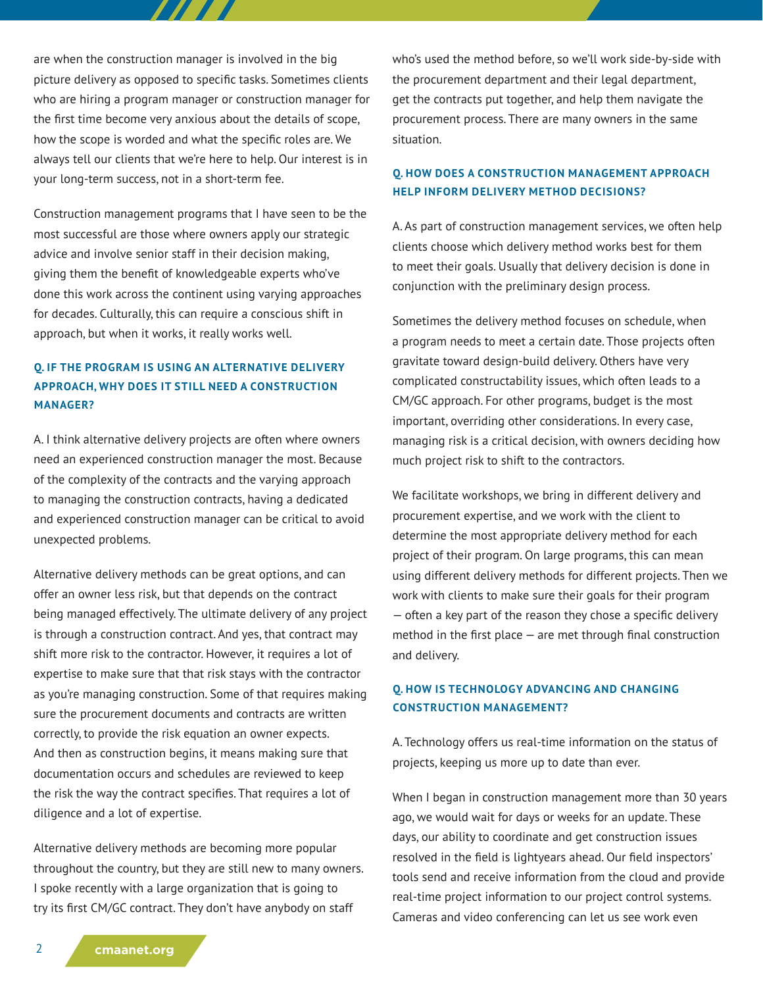are when the construction manager is involved in the big picture delivery as opposed to specific tasks. Sometimes clients who are hiring a program manager or construction manager for the first time become very anxious about the details of scope, how the scope is worded and what the specific roles are. We always tell our clients that we're here to help. Our interest is in your long-term success, not in a short-term fee.

777 T

Construction management programs that I have seen to be the most successful are those where owners apply our strategic advice and involve senior staff in their decision making, giving them the benefit of knowledgeable experts who've done this work across the continent using varying approaches for decades. Culturally, this can require a conscious shift in approach, but when it works, it really works well.

# **Q. IF THE PROGRAM IS USING AN ALTERNATIVE DELIVERY APPROACH, WHY DOES IT STILL NEED A CONSTRUCTION MANAGER?**

A. I think alternative delivery projects are often where owners need an experienced construction manager the most. Because of the complexity of the contracts and the varying approach to managing the construction contracts, having a dedicated and experienced construction manager can be critical to avoid unexpected problems.

Alternative delivery methods can be great options, and can offer an owner less risk, but that depends on the contract being managed effectively. The ultimate delivery of any project is through a construction contract. And yes, that contract may shift more risk to the contractor. However, it requires a lot of expertise to make sure that that risk stays with the contractor as you're managing construction. Some of that requires making sure the procurement documents and contracts are written correctly, to provide the risk equation an owner expects. And then as construction begins, it means making sure that documentation occurs and schedules are reviewed to keep the risk the way the contract specifies. That requires a lot of diligence and a lot of expertise.

Alternative delivery methods are becoming more popular throughout the country, but they are still new to many owners. I spoke recently with a large organization that is going to try its first CM/GC contract. They don't have anybody on staff

who's used the method before, so we'll work side-by-side with the procurement department and their legal department, get the contracts put together, and help them navigate the procurement process. There are many owners in the same situation.

### **Q. HOW DOES A CONSTRUCTION MANAGEMENT APPROACH HELP INFORM DELIVERY METHOD DECISIONS?**

A. As part of construction management services, we often help clients choose which delivery method works best for them to meet their goals. Usually that delivery decision is done in conjunction with the preliminary design process.

Sometimes the delivery method focuses on schedule, when a program needs to meet a certain date. Those projects often gravitate toward design-build delivery. Others have very complicated constructability issues, which often leads to a CM/GC approach. For other programs, budget is the most important, overriding other considerations. In every case, managing risk is a critical decision, with owners deciding how much project risk to shift to the contractors.

We facilitate workshops, we bring in different delivery and procurement expertise, and we work with the client to determine the most appropriate delivery method for each project of their program. On large programs, this can mean using different delivery methods for different projects. Then we work with clients to make sure their goals for their program — often a key part of the reason they chose a specific delivery method in the first place — are met through final construction and delivery.

### **Q. HOW IS TECHNOLOGY ADVANCING AND CHANGING CONSTRUCTION MANAGEMENT?**

A. Technology offers us real-time information on the status of projects, keeping us more up to date than ever.

When I began in construction management more than 30 years ago, we would wait for days or weeks for an update. These days, our ability to coordinate and get construction issues resolved in the field is lightyears ahead. Our field inspectors' tools send and receive information from the cloud and provide real-time project information to our project control systems. Cameras and video conferencing can let us see work even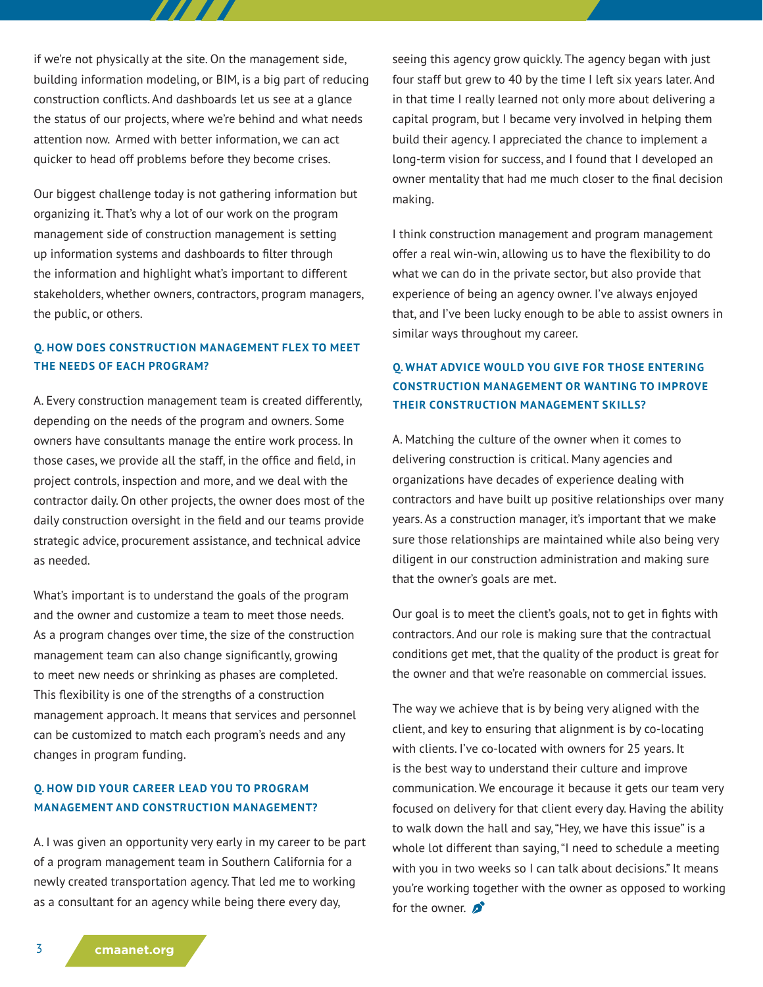if we're not physically at the site. On the management side, building information modeling, or BIM, is a big part of reducing construction conflicts. And dashboards let us see at a glance the status of our projects, where we're behind and what needs attention now. Armed with better information, we can act quicker to head off problems before they become crises.

777 T

Our biggest challenge today is not gathering information but organizing it. That's why a lot of our work on the program management side of construction management is setting up information systems and dashboards to filter through the information and highlight what's important to different stakeholders, whether owners, contractors, program managers, the public, or others.

### **Q. HOW DOES CONSTRUCTION MANAGEMENT FLEX TO MEET THE NEEDS OF EACH PROGRAM?**

A. Every construction management team is created differently, depending on the needs of the program and owners. Some owners have consultants manage the entire work process. In those cases, we provide all the staff, in the office and field, in project controls, inspection and more, and we deal with the contractor daily. On other projects, the owner does most of the daily construction oversight in the field and our teams provide strategic advice, procurement assistance, and technical advice as needed.

What's important is to understand the goals of the program and the owner and customize a team to meet those needs. As a program changes over time, the size of the construction management team can also change significantly, growing to meet new needs or shrinking as phases are completed. This flexibility is one of the strengths of a construction management approach. It means that services and personnel can be customized to match each program's needs and any changes in program funding.

## **Q. HOW DID YOUR CAREER LEAD YOU TO PROGRAM MANAGEMENT AND CONSTRUCTION MANAGEMENT?**

A. I was given an opportunity very early in my career to be part of a program management team in Southern California for a newly created transportation agency. That led me to working as a consultant for an agency while being there every day,

seeing this agency grow quickly. The agency began with just four staff but grew to 40 by the time I left six years later. And in that time I really learned not only more about delivering a capital program, but I became very involved in helping them build their agency. I appreciated the chance to implement a long-term vision for success, and I found that I developed an owner mentality that had me much closer to the final decision making.

I think construction management and program management offer a real win-win, allowing us to have the flexibility to do what we can do in the private sector, but also provide that experience of being an agency owner. I've always enjoyed that, and I've been lucky enough to be able to assist owners in similar ways throughout my career.

# **Q. WHAT ADVICE WOULD YOU GIVE FOR THOSE ENTERING CONSTRUCTION MANAGEMENT OR WANTING TO IMPROVE THEIR CONSTRUCTION MANAGEMENT SKILLS?**

A. Matching the culture of the owner when it comes to delivering construction is critical. Many agencies and organizations have decades of experience dealing with contractors and have built up positive relationships over many years. As a construction manager, it's important that we make sure those relationships are maintained while also being very diligent in our construction administration and making sure that the owner's goals are met.

Our goal is to meet the client's goals, not to get in fights with contractors. And our role is making sure that the contractual conditions get met, that the quality of the product is great for the owner and that we're reasonable on commercial issues.

The way we achieve that is by being very aligned with the client, and key to ensuring that alignment is by co-locating with clients. I've co-located with owners for 25 years. It is the best way to understand their culture and improve communication. We encourage it because it gets our team very focused on delivery for that client every day. Having the ability to walk down the hall and say, "Hey, we have this issue" is a whole lot different than saying, "I need to schedule a meeting with you in two weeks so I can talk about decisions." It means you're working together with the owner as opposed to working for the owner.  $\mathbf{\hat{p}}^{\bullet}$